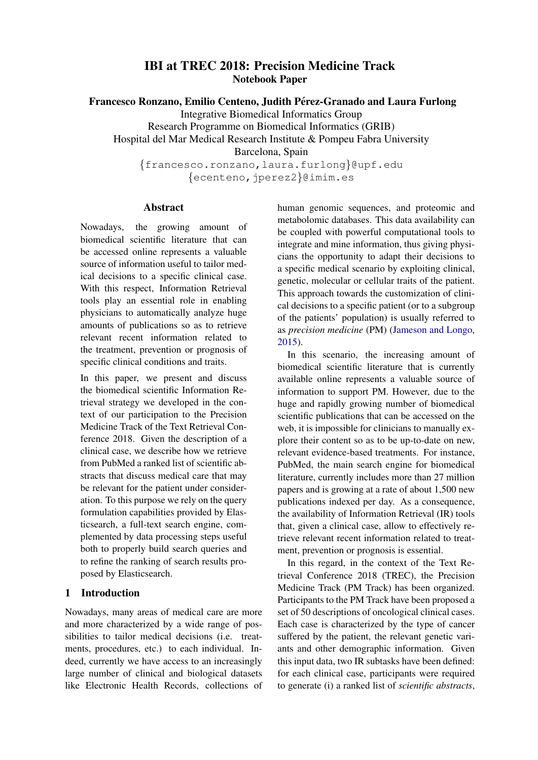# IBI at TREC 2018: Precision Medicine Track Notebook Paper

Francesco Ronzano, Emilio Centeno, Judith Pérez-Granado and Laura Furlong

Integrative Biomedical Informatics Group Research Programme on Biomedical Informatics (GRIB) Hospital del Mar Medical Research Institute & Pompeu Fabra University Barcelona, Spain {francesco.ronzano,laura.furlong}@upf.edu {ecenteno,jperez2}@imim.es

Nowadays, the growing amount of biomedical scientific literature that can be accessed online represents a valuable source of information useful to tailor medical decisions to a specific clinical case. With this respect, Information Retrieval tools play an essential role in enabling physicians to automatically analyze huge amounts of publications so as to retrieve relevant recent information related to the treatment, prevention or prognosis of specific clinical conditions and traits.

Abstract

In this paper, we present and discuss the biomedical scientific Information Retrieval strategy we developed in the context of our participation to the Precision Medicine Track of the Text Retrieval Conference 2018. Given the description of a clinical case, we describe how we retrieve from PubMed a ranked list of scientific abstracts that discuss medical care that may be relevant for the patient under consideration. To this purpose we rely on the query formulation capabilities provided by Elasticsearch, a full-text search engine, complemented by data processing steps useful both to properly build search queries and to refine the ranking of search results proposed by Elasticsearch.

## 1 Introduction

Nowadays, many areas of medical care are more and more characterized by a wide range of possibilities to tailor medical decisions (i.e. treatments, procedures, etc.) to each individual. Indeed, currently we have access to an increasingly large number of clinical and biological datasets like Electronic Health Records, collections of human genomic sequences, and proteomic and metabolomic databases. This data availability can be coupled with powerful computational tools to integrate and mine information, thus giving physicians the opportunity to adapt their decisions to a specific medical scenario by exploiting clinical, genetic, molecular or cellular traits of the patient. This approach towards the customization of clinical decisions to a specific patient (or to a subgroup of the patients' population) is usually referred to as *precision medicine* (PM) [\(Jameson and Longo,](#page-8-0) [2015\)](#page-8-0).

In this scenario, the increasing amount of biomedical scientific literature that is currently available online represents a valuable source of information to support PM. However, due to the huge and rapidly growing number of biomedical scientific publications that can be accessed on the web, it is impossible for clinicians to manually explore their content so as to be up-to-date on new, relevant evidence-based treatments. For instance, PubMed, the main search engine for biomedical literature, currently includes more than 27 million papers and is growing at a rate of about 1,500 new publications indexed per day. As a consequence, the availability of Information Retrieval (IR) tools that, given a clinical case, allow to effectively retrieve relevant recent information related to treatment, prevention or prognosis is essential.

In this regard, in the context of the Text Retrieval Conference 2018 (TREC), the Precision Medicine Track (PM Track) has been organized. Participants to the PM Track have been proposed a set of 50 descriptions of oncological clinical cases. Each case is characterized by the type of cancer suffered by the patient, the relevant genetic variants and other demographic information. Given this input data, two IR subtasks have been defined: for each clinical case, participants were required to generate (i) a ranked list of *scientific abstracts*,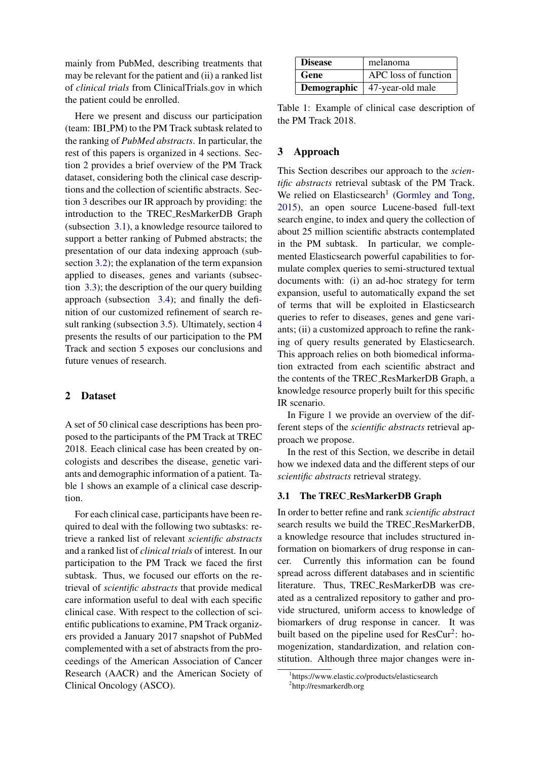mainly from PubMed, describing treatments that may be relevant for the patient and (ii) a ranked list of *clinical trials* from ClinicalTrials.gov in which the patient could be enrolled.

Here we present and discuss our participation (team: IBI PM) to the PM Track subtask related to the ranking of *PubMed abstracts*. In particular, the rest of this papers is organized in 4 sections. Section [2](#page-1-0) provides a brief overview of the PM Track dataset, considering both the clinical case descriptions and the collection of scientific abstracts. Section [3](#page-1-1) describes our IR approach by providing: the introduction to the TREC ResMarkerDB Graph (subsection [3.1\)](#page-1-2), a knowledge resource tailored to support a better ranking of Pubmed abstracts; the presentation of our data indexing approach (subsection [3.2\)](#page-2-0); the explanation of the term expansion applied to diseases, genes and variants (subsection [3.3\)](#page-2-1); the description of the our query building approach (subsection [3.4\)](#page-5-0); and finally the definition of our customized refinement of search result ranking (subsection [3.5\)](#page-6-0). Ultimately, section [4](#page-8-1) presents the results of our participation to the PM Track and section [5](#page-8-2) exposes our conclusions and future venues of research.

### <span id="page-1-0"></span>2 Dataset

A set of 50 clinical case descriptions has been proposed to the participants of the PM Track at TREC 2018. Eeach clinical case has been created by oncologists and describes the disease, genetic variants and demographic information of a patient. Table [1](#page-1-3) shows an example of a clinical case description.

For each clinical case, participants have been required to deal with the following two subtasks: retrieve a ranked list of relevant *scientific abstracts* and a ranked list of *clinical trials* of interest. In our participation to the PM Track we faced the first subtask. Thus, we focused our efforts on the retrieval of *scientific abstracts* that provide medical care information useful to deal with each specific clinical case. With respect to the collection of scientific publications to examine, PM Track organizers provided a January 2017 snapshot of PubMed complemented with a set of abstracts from the proceedings of the American Association of Cancer Research (AACR) and the American Society of Clinical Oncology (ASCO).

| <b>Disease</b> | melanoma                              |
|----------------|---------------------------------------|
| Gene           | APC loss of function                  |
|                | <b>Demographic</b>   47-year-old male |

<span id="page-1-3"></span>Table 1: Example of clinical case description of the PM Track 2018.

#### <span id="page-1-1"></span>3 Approach

This Section describes our approach to the *scientific abstracts* retrieval subtask of the PM Track. We relied on Elasticsearch<sup>[1](#page-1-4)</sup> [\(Gormley and Tong,](#page-8-3) [2015\)](#page-8-3), an open source Lucene-based full-text search engine, to index and query the collection of about 25 million scientific abstracts contemplated in the PM subtask. In particular, we complemented Elasticsearch powerful capabilities to formulate complex queries to semi-structured textual documents with: (i) an ad-hoc strategy for term expansion, useful to automatically expand the set of terms that will be exploited in Elasticsearch queries to refer to diseases, genes and gene variants; (ii) a customized approach to refine the ranking of query results generated by Elasticsearch. This approach relies on both biomedical information extracted from each scientific abstract and the contents of the TREC ResMarkerDB Graph, a knowledge resource properly built for this specific IR scenario.

In Figure [1](#page-2-2) we provide an overview of the different steps of the *scientific abstracts* retrieval approach we propose.

In the rest of this Section, we describe in detail how we indexed data and the different steps of our *scientific abstracts* retrieval strategy.

#### <span id="page-1-2"></span>3.1 The TREC ResMarkerDB Graph

In order to better refine and rank *scientific abstract* search results we build the TREC ResMarkerDB, a knowledge resource that includes structured information on biomarkers of drug response in cancer. Currently this information can be found spread across different databases and in scientific literature. Thus, TREC ResMarkerDB was created as a centralized repository to gather and provide structured, uniform access to knowledge of biomarkers of drug response in cancer. It was built based on the pipeline used for ResCur<sup>[2](#page-1-5)</sup>: homogenization, standardization, and relation constitution. Although three major changes were in-

<span id="page-1-5"></span><span id="page-1-4"></span><sup>1</sup> https://www.elastic.co/products/elasticsearch 2 http://resmarkerdb.org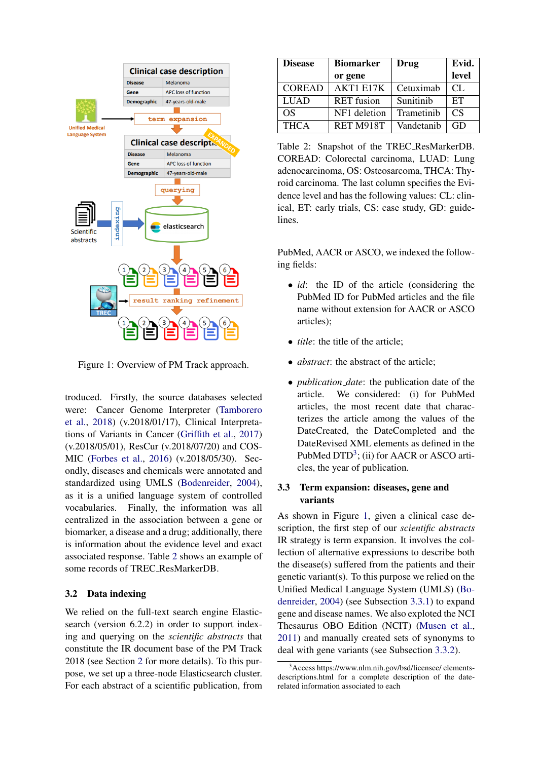

<span id="page-2-2"></span>Figure 1: Overview of PM Track approach.

troduced. Firstly, the source databases selected were: Cancer Genome Interpreter [\(Tamborero](#page-9-0) [et al.,](#page-9-0) [2018\)](#page-9-0) (v.2018/01/17), Clinical Interpretations of Variants in Cancer [\(Griffith et al.,](#page-8-4) [2017\)](#page-8-4) (v.2018/05/01), ResCur (v.2018/07/20) and COS-MIC [\(Forbes et al.,](#page-8-5) [2016\)](#page-8-5) (v.2018/05/30). Secondly, diseases and chemicals were annotated and standardized using UMLS [\(Bodenreider,](#page-8-6) [2004\)](#page-8-6), as it is a unified language system of controlled vocabularies. Finally, the information was all centralized in the association between a gene or biomarker, a disease and a drug; additionally, there is information about the evidence level and exact associated response. Table [2](#page-2-3) shows an example of some records of TREC ResMarkerDB.

#### <span id="page-2-0"></span>3.2 Data indexing

We relied on the full-text search engine Elasticsearch (version 6.2.2) in order to support indexing and querying on the *scientific abstracts* that constitute the IR document base of the PM Track 2018 (see Section [2](#page-1-0) for more details). To this purpose, we set up a three-node Elasticsearch cluster. For each abstract of a scientific publication, from

| <b>Disease</b> | <b>Biomarker</b>  | Drug       | Evid.  |
|----------------|-------------------|------------|--------|
|                | or gene           |            | level  |
| <b>COREAD</b>  | AKT1 E17K         | Cetuximab  | $CI$ . |
| <b>LUAD</b>    | <b>RET</b> fusion | Sunitinib  | ET     |
| OS             | NF1 deletion      | Trametinib | CS     |
| <b>THCA</b>    | RET M918T         | Vandetanib | GD     |

<span id="page-2-3"></span>Table 2: Snapshot of the TREC ResMarkerDB. COREAD: Colorectal carcinoma, LUAD: Lung adenocarcinoma, OS: Osteosarcoma, THCA: Thyroid carcinoma. The last column specifies the Evidence level and has the following values: CL: clinical, ET: early trials, CS: case study, GD: guidelines.

PubMed, AACR or ASCO, we indexed the following fields:

- *id*: the ID of the article (considering the PubMed ID for PubMed articles and the file name without extension for AACR or ASCO articles);
- *title*: the title of the article:
- *abstract*: the abstract of the article:
- *publication date*: the publication date of the article. We considered: (i) for PubMed articles, the most recent date that characterizes the article among the values of the DateCreated, the DateCompleted and the DateRevised XML elements as defined in the PubMed DTD<sup>[3](#page-2-4)</sup>; (ii) for AACR or ASCO articles, the year of publication.

## <span id="page-2-1"></span>3.3 Term expansion: diseases, gene and variants

As shown in Figure [1,](#page-2-2) given a clinical case description, the first step of our *scientific abstracts* IR strategy is term expansion. It involves the collection of alternative expressions to describe both the disease(s) suffered from the patients and their genetic variant(s). To this purpose we relied on the Unified Medical Language System (UMLS) [\(Bo](#page-8-6)[denreider,](#page-8-6) [2004\)](#page-8-6) (see Subsection [3.3.1\)](#page-3-0) to expand gene and disease names. We also exploted the NCI Thesaurus OBO Edition (NCIT) [\(Musen et al.,](#page-8-7) [2011\)](#page-8-7) and manually created sets of synonyms to deal with gene variants (see Subsection [3.3.2\)](#page-3-1).

<span id="page-2-4"></span><sup>&</sup>lt;sup>3</sup>Access https://www.nlm.nih.gov/bsd/licensee/ elementsdescriptions.html for a complete description of the daterelated information associated to each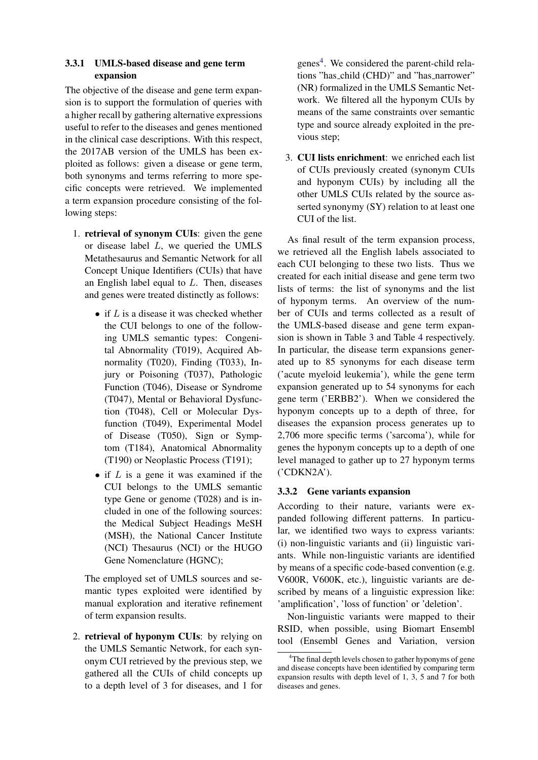## <span id="page-3-0"></span>3.3.1 UMLS-based disease and gene term expansion

The objective of the disease and gene term expansion is to support the formulation of queries with a higher recall by gathering alternative expressions useful to refer to the diseases and genes mentioned in the clinical case descriptions. With this respect, the 2017AB version of the UMLS has been exploited as follows: given a disease or gene term, both synonyms and terms referring to more specific concepts were retrieved. We implemented a term expansion procedure consisting of the following steps:

- 1. retrieval of synonym CUIs: given the gene or disease label L, we queried the UMLS Metathesaurus and Semantic Network for all Concept Unique Identifiers (CUIs) that have an English label equal to L. Then, diseases and genes were treated distinctly as follows:
	- if  $L$  is a disease it was checked whether the CUI belongs to one of the following UMLS semantic types: Congenital Abnormality (T019), Acquired Abnormality (T020), Finding (T033), Injury or Poisoning (T037), Pathologic Function (T046), Disease or Syndrome (T047), Mental or Behavioral Dysfunction (T048), Cell or Molecular Dysfunction (T049), Experimental Model of Disease (T050), Sign or Symptom (T184), Anatomical Abnormality (T190) or Neoplastic Process (T191);
	- if  $L$  is a gene it was examined if the CUI belongs to the UMLS semantic type Gene or genome (T028) and is included in one of the following sources: the Medical Subject Headings MeSH (MSH), the National Cancer Institute (NCI) Thesaurus (NCI) or the HUGO Gene Nomenclature (HGNC);

The employed set of UMLS sources and semantic types exploited were identified by manual exploration and iterative refinement of term expansion results.

2. retrieval of hyponym CUIs: by relying on the UMLS Semantic Network, for each synonym CUI retrieved by the previous step, we gathered all the CUIs of child concepts up to a depth level of 3 for diseases, and 1 for

genes<sup>[4](#page-3-2)</sup>. We considered the parent-child relations "has child (CHD)" and "has narrower" (NR) formalized in the UMLS Semantic Network. We filtered all the hyponym CUIs by means of the same constraints over semantic type and source already exploited in the previous step;

3. CUI lists enrichment: we enriched each list of CUIs previously created (synonym CUIs and hyponym CUIs) by including all the other UMLS CUIs related by the source asserted synonymy (SY) relation to at least one CUI of the list.

As final result of the term expansion process, we retrieved all the English labels associated to each CUI belonging to these two lists. Thus we created for each initial disease and gene term two lists of terms: the list of synonyms and the list of hyponym terms. An overview of the number of CUIs and terms collected as a result of the UMLS-based disease and gene term expansion is shown in Table [3](#page-4-0) and Table [4](#page-4-1) respectively. In particular, the disease term expansions generated up to 85 synonyms for each disease term ('acute myeloid leukemia'), while the gene term expansion generated up to 54 synonyms for each gene term ('ERBB2'). When we considered the hyponym concepts up to a depth of three, for diseases the expansion process generates up to 2,706 more specific terms ('sarcoma'), while for genes the hyponym concepts up to a depth of one level managed to gather up to 27 hyponym terms ('CDKN2A').

### <span id="page-3-1"></span>3.3.2 Gene variants expansion

According to their nature, variants were expanded following different patterns. In particular, we identified two ways to express variants: (i) non-linguistic variants and (ii) linguistic variants. While non-linguistic variants are identified by means of a specific code-based convention (e.g. V600R, V600K, etc.), linguistic variants are described by means of a linguistic expression like: 'amplification', 'loss of function' or 'deletion'.

Non-linguistic variants were mapped to their RSID, when possible, using Biomart Ensembl tool (Ensembl Genes and Variation, version

<span id="page-3-2"></span><sup>&</sup>lt;sup>4</sup>The final depth levels chosen to gather hyponyms of gene and disease concepts have been identified by comparing term expansion results with depth level of 1, 3, 5 and 7 for both diseases and genes.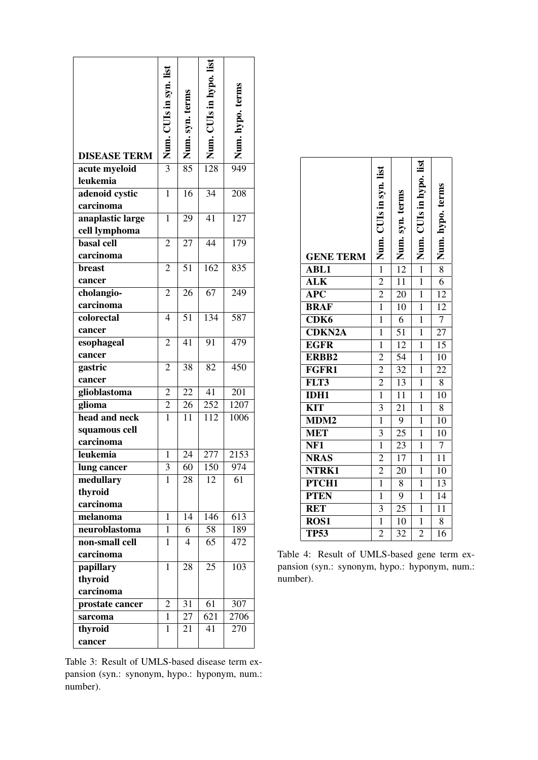| <b>DISEASE TERM</b>               | Num. CUIs in syn. list           | Num. syn. terms | Num. CUIs in hypo. list | Num. hypo. terms |
|-----------------------------------|----------------------------------|-----------------|-------------------------|------------------|
| acute myeloid<br>leukemia         | $\overline{3}$                   | $\overline{85}$ | $\overline{128}$        | 949              |
| adenoid cystic<br>carcinoma       | $\mathbf{1}$                     | 16              | 34                      | 208              |
| anaplastic large<br>cell lymphoma | $\mathbf{1}$                     | 29              | 41                      | 127              |
| <b>basal</b> cell<br>carcinoma    | $\overline{2}$                   | 27              | $\overline{44}$         | 179              |
| breast<br>cancer                  | $\overline{2}$                   | 51              | 162                     | 835              |
| cholangio-<br>carcinoma           | $\overline{2}$                   | $\overline{26}$ | 67                      | 249              |
| colorectal<br>cancer              | $\overline{4}$                   | 51              | 134                     | 587              |
| esophageal<br>cancer              | $\overline{2}$                   | 41              | 91                      | 479              |
| gastric<br>cancer                 | $\overline{2}$                   | 38              | 82                      | $\overline{450}$ |
| glioblastoma                      | 2                                | 22              | $\overline{41}$         | 201              |
| glioma<br>head and neck           | $\overline{2}$<br>$\overline{1}$ | 26<br>11        | 252<br>112              | 1207<br>1006     |
| squamous cell<br>carcinoma        |                                  |                 |                         |                  |
| leukemia                          | $\mathbf{1}$                     | 24              | 277                     | 2153             |
| lung cancer                       | 3<br>1                           | 60              | 150                     | 974<br>61        |
| medullary<br>thyroid<br>carcinoma |                                  | 28              | 12                      |                  |
| melanoma                          | $\mathbf{1}$                     | $1\overline{4}$ | 146                     | 613              |
| neuroblastoma                     | $\mathbf{1}$                     | 6               | 58                      | 189              |
| non-small cell<br>carcinoma       | 1                                | $\overline{4}$  | 65                      | 472              |
| papillary<br>thyroid<br>carcinoma | $\mathbf{1}$                     | 28              | 25                      | 103              |
| prostate cancer                   | 2                                | 31              | 61                      | 307              |
| sarcoma                           | $\mathbf{1}$                     | 27              | 621                     | 2706             |
| thyroid<br>cancer                 | $\mathbf{1}$                     | 21              | 41                      | 270              |

<span id="page-4-0"></span>Table 3: Result of UMLS-based disease term expansion (syn.: synonym, hypo.: hyponym, num.: number).

| <b>GENE TERM</b>        | $-$   Num. CUIs in syn. list | Num. syn. terms | Num. CUIs in hypo. list | Num. hypo. terms |
|-------------------------|------------------------------|-----------------|-------------------------|------------------|
| <b>ABL1</b>             |                              | $\overline{12}$ | $\overline{1}$          | $\overline{8}$   |
| <b>ALK</b>              | $\overline{2}$               | $\overline{11}$ | $\overline{1}$          | $\overline{6}$   |
| $\overline{\text{APC}}$ | $\overline{2}$               | $\overline{20}$ | $\overline{1}$          | $\overline{12}$  |
| <b>BRAF</b>             | $\overline{1}$               | 10              | $\mathbf{1}$            | $\overline{12}$  |
| CDK <sub>6</sub>        | $\mathbf{1}$                 | 6               | $\mathbf{1}$            | $\overline{7}$   |
| <b>CDKN2A</b>           | $\mathbf{1}$                 | $\overline{51}$ | $\mathbf{1}$            | $\overline{27}$  |
| <b>EGFR</b>             | $\overline{1}$               | $\overline{12}$ | $\overline{1}$          | $\overline{15}$  |
| ERBB2                   | $\overline{2}$               | $\overline{54}$ | $\overline{1}$          | $\overline{10}$  |
| FGFR1                   | $\overline{2}$               | $\overline{32}$ | $\mathbf{1}$            | 22               |
| FLT3                    | $\overline{2}$               | $\overline{13}$ | $\mathbf{1}$            | $\overline{8}$   |
| <b>IDH1</b>             | $\frac{1}{1}$                | $\overline{11}$ | $\mathbf{1}$            | $\overline{10}$  |
| $\overline{\text{KIT}}$ | $\overline{3}$               | $\overline{21}$ | $\mathbf{1}$            | $\overline{8}$   |
| MDM <sub>2</sub>        | $\overline{1}$               | $\overline{9}$  | $\overline{1}$          | 10               |
| <b>MET</b>              | $\overline{\mathbf{3}}$      | $\overline{25}$ | $\mathbf{1}$            | 10               |
| NF <sub>1</sub>         | $\mathbf{1}$                 | 23              | $\mathbf{1}$            | 7                |
| <b>NRAS</b>             | $\overline{2}$               | $\overline{17}$ | $\mathbf{1}$            | $\overline{11}$  |
| NTRK1                   | $\overline{2}$               | 20              | $\overline{1}$          | $\overline{10}$  |
| PTCH <sub>1</sub>       | $\overline{1}$               | 8               | $\mathbf{1}$            | 13               |
| <b>PTEN</b>             | $\overline{1}$               | $\overline{9}$  | $\mathbf{1}$            | $\overline{14}$  |
| <b>RET</b>              | $\overline{\mathbf{3}}$      | $\overline{25}$ | $\mathbf{1}$            | $\overline{11}$  |
| ROS <sub>1</sub>        | $\overline{1}$               | 10              | $\overline{1}$          | $\overline{8}$   |
| <b>TP53</b>             | $\overline{2}$               | $\overline{32}$ | $\overline{2}$          | 16               |

**r** 

<span id="page-4-1"></span>Table 4: Result of UMLS-based gene term expansion (syn.: synonym, hypo.: hyponym, num.: number).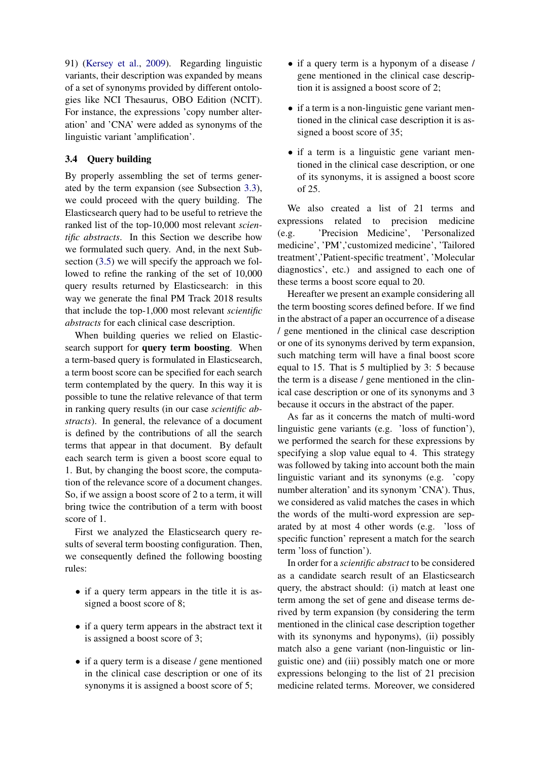91) [\(Kersey et al.,](#page-8-8) [2009\)](#page-8-8). Regarding linguistic variants, their description was expanded by means of a set of synonyms provided by different ontologies like NCI Thesaurus, OBO Edition (NCIT). For instance, the expressions 'copy number alteration' and 'CNA' were added as synonyms of the linguistic variant 'amplification'.

## <span id="page-5-0"></span>3.4 Query building

By properly assembling the set of terms generated by the term expansion (see Subsection [3.3\)](#page-2-1), we could proceed with the query building. The Elasticsearch query had to be useful to retrieve the ranked list of the top-10,000 most relevant *scientific abstracts*. In this Section we describe how we formulated such query. And, in the next Subsection [\(3.5\)](#page-6-0) we will specify the approach we followed to refine the ranking of the set of 10,000 query results returned by Elasticsearch: in this way we generate the final PM Track 2018 results that include the top-1,000 most relevant *scientific abstracts* for each clinical case description.

When building queries we relied on Elasticsearch support for query term boosting. When a term-based query is formulated in Elasticsearch, a term boost score can be specified for each search term contemplated by the query. In this way it is possible to tune the relative relevance of that term in ranking query results (in our case *scientific abstracts*). In general, the relevance of a document is defined by the contributions of all the search terms that appear in that document. By default each search term is given a boost score equal to 1. But, by changing the boost score, the computation of the relevance score of a document changes. So, if we assign a boost score of 2 to a term, it will bring twice the contribution of a term with boost score of 1.

First we analyzed the Elasticsearch query results of several term boosting configuration. Then, we consequently defined the following boosting rules:

- if a query term appears in the title it is assigned a boost score of 8;
- if a query term appears in the abstract text it is assigned a boost score of 3;
- if a query term is a disease / gene mentioned in the clinical case description or one of its synonyms it is assigned a boost score of 5;
- if a query term is a hyponym of a disease / gene mentioned in the clinical case description it is assigned a boost score of 2;
- if a term is a non-linguistic gene variant mentioned in the clinical case description it is assigned a boost score of 35;
- if a term is a linguistic gene variant mentioned in the clinical case description, or one of its synonyms, it is assigned a boost score of 25.

We also created a list of 21 terms and expressions related to precision medicine (e.g. 'Precision Medicine', 'Personalized medicine', 'PM','customized medicine', 'Tailored treatment','Patient-specific treatment', 'Molecular diagnostics', etc.) and assigned to each one of these terms a boost score equal to 20.

Hereafter we present an example considering all the term boosting scores defined before. If we find in the abstract of a paper an occurrence of a disease / gene mentioned in the clinical case description or one of its synonyms derived by term expansion, such matching term will have a final boost score equal to 15. That is 5 multiplied by 3: 5 because the term is a disease / gene mentioned in the clinical case description or one of its synonyms and 3 because it occurs in the abstract of the paper.

As far as it concerns the match of multi-word linguistic gene variants (e.g. 'loss of function'), we performed the search for these expressions by specifying a slop value equal to 4. This strategy was followed by taking into account both the main linguistic variant and its synonyms (e.g. 'copy number alteration' and its synonym 'CNA'). Thus, we considered as valid matches the cases in which the words of the multi-word expression are separated by at most 4 other words (e.g. 'loss of specific function' represent a match for the search term 'loss of function').

In order for a *scientific abstract* to be considered as a candidate search result of an Elasticsearch query, the abstract should: (i) match at least one term among the set of gene and disease terms derived by term expansion (by considering the term mentioned in the clinical case description together with its synonyms and hyponyms), (ii) possibly match also a gene variant (non-linguistic or linguistic one) and (iii) possibly match one or more expressions belonging to the list of 21 precision medicine related terms. Moreover, we considered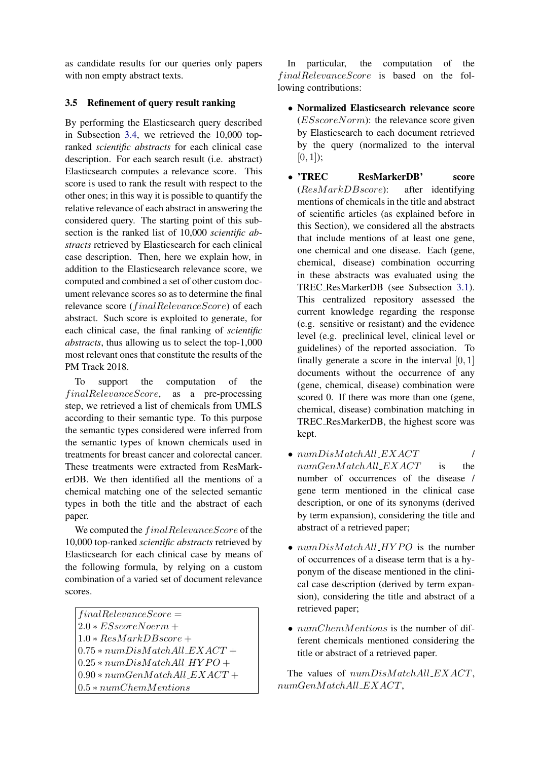as candidate results for our queries only papers with non empty abstract texts.

## <span id="page-6-0"></span>3.5 Refinement of query result ranking

By performing the Elasticsearch query described in Subsection [3.4,](#page-5-0) we retrieved the 10,000 topranked *scientific abstracts* for each clinical case description. For each search result (i.e. abstract) Elasticsearch computes a relevance score. This score is used to rank the result with respect to the other ones; in this way it is possible to quantify the relative relevance of each abstract in answering the considered query. The starting point of this subsection is the ranked list of 10,000 *scientific abstracts* retrieved by Elasticsearch for each clinical case description. Then, here we explain how, in addition to the Elasticsearch relevance score, we computed and combined a set of other custom document relevance scores so as to determine the final relevance score (*finalRelevanceScore*) of each abstract. Such score is exploited to generate, for each clinical case, the final ranking of *scientific abstracts*, thus allowing us to select the top-1,000 most relevant ones that constitute the results of the PM Track 2018.

To support the computation of the  $finalRelevanceScore$ , as a pre-processing step, we retrieved a list of chemicals from UMLS according to their semantic type. To this purpose the semantic types considered were inferred from the semantic types of known chemicals used in treatments for breast cancer and colorectal cancer. These treatments were extracted from ResMarkerDB. We then identified all the mentions of a chemical matching one of the selected semantic types in both the title and the abstract of each paper.

We computed the  $finalRelevanceScore$  of the 10,000 top-ranked *scientific abstracts* retrieved by Elasticsearch for each clinical case by means of the following formula, by relying on a custom combination of a varied set of document relevance scores.

 $finalRelevanceScore =$  $2.0 * ESscoreNorm +$  $1.0 * ResMarkDBscore +$  $0.75 * numDisMatchAll\_EXAMPLEXACT +$  $0.25 * numDisMatchAll_HYPO +$  $0.90 * numGenMatchAll$   $EXACT +$ 0.5 ∗ numChemMentions

In particular, the computation of the  $finalRelevanceScore$  is based on the following contributions:

- Normalized Elasticsearch relevance score  $(ESscoreNorm)$ : the relevance score given by Elasticsearch to each document retrieved by the query (normalized to the interval  $[0, 1]$ :
- 'TREC ResMarkerDB' score  $(ResMarkDB score)$ : after identifying mentions of chemicals in the title and abstract of scientific articles (as explained before in this Section), we considered all the abstracts that include mentions of at least one gene, one chemical and one disease. Each (gene, chemical, disease) combination occurring in these abstracts was evaluated using the TREC ResMarkerDB (see Subsection [3.1\)](#page-1-2). This centralized repository assessed the current knowledge regarding the response (e.g. sensitive or resistant) and the evidence level (e.g. preclinical level, clinical level or guidelines) of the reported association. To finally generate a score in the interval  $[0, 1]$ documents without the occurrence of any (gene, chemical, disease) combination were scored 0. If there was more than one (gene, chemical, disease) combination matching in TREC ResMarkerDB, the highest score was kept.
- $numDisMatchAll$  EXACT  $/$  $numGenMatchAll\_EXAMPLE$  is the number of occurrences of the disease / gene term mentioned in the clinical case description, or one of its synonyms (derived by term expansion), considering the title and abstract of a retrieved paper;
- $numDisMatchAll_HYPO$  is the number of occurrences of a disease term that is a hyponym of the disease mentioned in the clinical case description (derived by term expansion), considering the title and abstract of a retrieved paper;
- $numChemMentions$  is the number of different chemicals mentioned considering the title or abstract of a retrieved paper.

The values of  $numDisMatchAll\_EXACT$ , numGenM atchAll EXACT,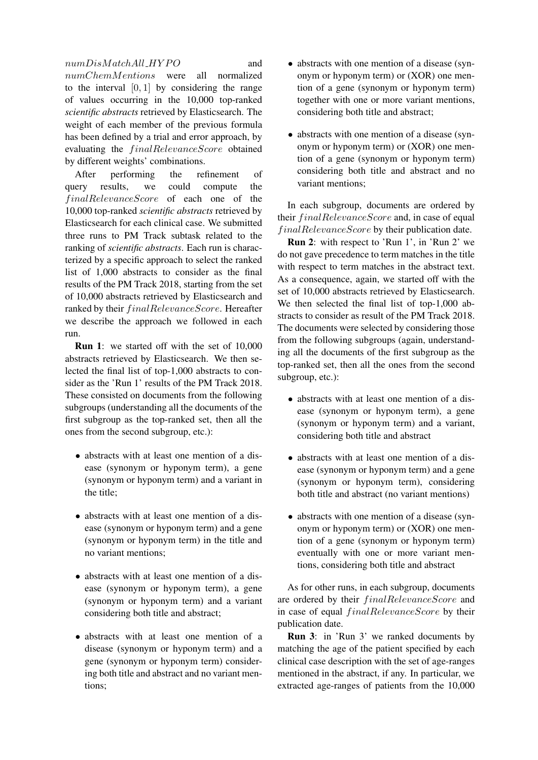## $numDisMatchAll_HYPO$  and

numChemMentions were all normalized to the interval  $[0, 1]$  by considering the range of values occurring in the 10,000 top-ranked *scientific abstracts* retrieved by Elasticsearch. The weight of each member of the previous formula has been defined by a trial and error approach, by evaluating the *finalRelevanceScore* obtained by different weights' combinations.

After performing the refinement of query results, we could compute the finalRelevanceScore of each one of the 10,000 top-ranked *scientific abstracts* retrieved by Elasticsearch for each clinical case. We submitted three runs to PM Track subtask related to the ranking of *scientific abstracts*. Each run is characterized by a specific approach to select the ranked list of 1,000 abstracts to consider as the final results of the PM Track 2018, starting from the set of 10,000 abstracts retrieved by Elasticsearch and ranked by their  $finalRelevanceScore$ . Hereafter we describe the approach we followed in each run.

**Run 1:** we started off with the set of 10,000 abstracts retrieved by Elasticsearch. We then selected the final list of top-1,000 abstracts to consider as the 'Run 1' results of the PM Track 2018. These consisted on documents from the following subgroups (understanding all the documents of the first subgroup as the top-ranked set, then all the ones from the second subgroup, etc.):

- abstracts with at least one mention of a disease (synonym or hyponym term), a gene (synonym or hyponym term) and a variant in the title;
- abstracts with at least one mention of a disease (synonym or hyponym term) and a gene (synonym or hyponym term) in the title and no variant mentions;
- abstracts with at least one mention of a disease (synonym or hyponym term), a gene (synonym or hyponym term) and a variant considering both title and abstract;
- abstracts with at least one mention of a disease (synonym or hyponym term) and a gene (synonym or hyponym term) considering both title and abstract and no variant mentions;
- abstracts with one mention of a disease (synonym or hyponym term) or (XOR) one mention of a gene (synonym or hyponym term) together with one or more variant mentions, considering both title and abstract;
- abstracts with one mention of a disease (synonym or hyponym term) or (XOR) one mention of a gene (synonym or hyponym term) considering both title and abstract and no variant mentions;

In each subgroup, documents are ordered by their  $finalRelevanceScore$  and, in case of equal  $finalRelevanceScore$  by their publication date.

Run 2: with respect to 'Run 1', in 'Run 2' we do not gave precedence to term matches in the title with respect to term matches in the abstract text. As a consequence, again, we started off with the set of 10,000 abstracts retrieved by Elasticsearch. We then selected the final list of top-1,000 abstracts to consider as result of the PM Track 2018. The documents were selected by considering those from the following subgroups (again, understanding all the documents of the first subgroup as the top-ranked set, then all the ones from the second subgroup, etc.):

- abstracts with at least one mention of a disease (synonym or hyponym term), a gene (synonym or hyponym term) and a variant, considering both title and abstract
- abstracts with at least one mention of a disease (synonym or hyponym term) and a gene (synonym or hyponym term), considering both title and abstract (no variant mentions)
- abstracts with one mention of a disease (synonym or hyponym term) or (XOR) one mention of a gene (synonym or hyponym term) eventually with one or more variant mentions, considering both title and abstract

As for other runs, in each subgroup, documents are ordered by their  $finalRelevanceScore$  and in case of equal  $finalRelevanceScore$  by their publication date.

Run 3: in 'Run 3' we ranked documents by matching the age of the patient specified by each clinical case description with the set of age-ranges mentioned in the abstract, if any. In particular, we extracted age-ranges of patients from the 10,000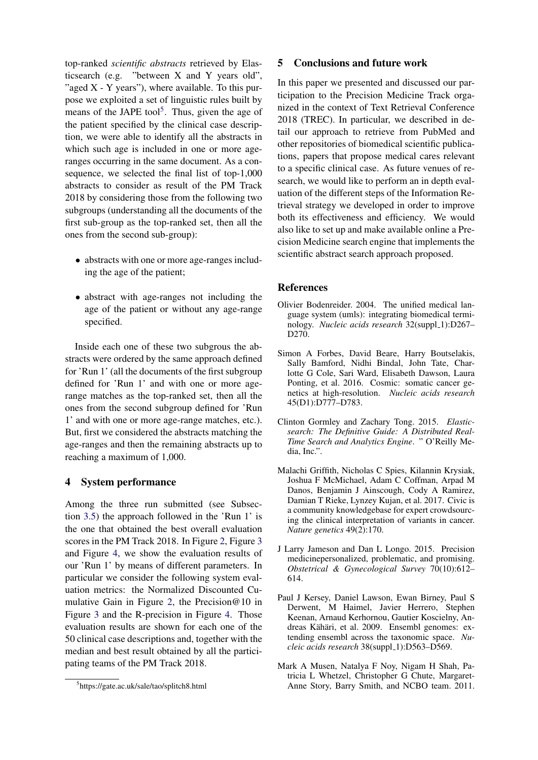top-ranked *scientific abstracts* retrieved by Elasticsearch (e.g. "between X and Y years old", "aged  $X - Y$  years"), where available. To this purpose we exploited a set of linguistic rules built by means of the JAPE tool<sup>[5](#page-8-9)</sup>. Thus, given the age of the patient specified by the clinical case description, we were able to identify all the abstracts in which such age is included in one or more ageranges occurring in the same document. As a consequence, we selected the final list of top-1,000 abstracts to consider as result of the PM Track 2018 by considering those from the following two subgroups (understanding all the documents of the first sub-group as the top-ranked set, then all the ones from the second sub-group):

- abstracts with one or more age-ranges including the age of the patient;
- abstract with age-ranges not including the age of the patient or without any age-range specified.

Inside each one of these two subgrous the abstracts were ordered by the same approach defined for 'Run 1' (all the documents of the first subgroup defined for 'Run 1' and with one or more agerange matches as the top-ranked set, then all the ones from the second subgroup defined for 'Run 1' and with one or more age-range matches, etc.). But, first we considered the abstracts matching the age-ranges and then the remaining abstracts up to reaching a maximum of 1,000.

#### <span id="page-8-1"></span>4 System performance

Among the three run submitted (see Subsection [3.5\)](#page-6-0) the approach followed in the 'Run 1' is the one that obtained the best overall evaluation scores in the PM Track 2018. In Figure [2,](#page-9-1) Figure [3](#page-9-2) and Figure [4,](#page-10-0) we show the evaluation results of our 'Run 1' by means of different parameters. In particular we consider the following system evaluation metrics: the Normalized Discounted Cumulative Gain in Figure [2,](#page-9-1) the Precision@10 in Figure [3](#page-9-2) and the R-precision in Figure [4.](#page-10-0) Those evaluation results are shown for each one of the 50 clinical case descriptions and, together with the median and best result obtained by all the participating teams of the PM Track 2018.

#### <span id="page-8-2"></span>5 Conclusions and future work

In this paper we presented and discussed our participation to the Precision Medicine Track organized in the context of Text Retrieval Conference 2018 (TREC). In particular, we described in detail our approach to retrieve from PubMed and other repositories of biomedical scientific publications, papers that propose medical cares relevant to a specific clinical case. As future venues of research, we would like to perform an in depth evaluation of the different steps of the Information Retrieval strategy we developed in order to improve both its effectiveness and efficiency. We would also like to set up and make available online a Precision Medicine search engine that implements the scientific abstract search approach proposed.

#### References

- <span id="page-8-6"></span>Olivier Bodenreider. 2004. The unified medical language system (umls): integrating biomedical terminology. *Nucleic acids research* 32(suppl\_1):D267-D270.
- <span id="page-8-5"></span>Simon A Forbes, David Beare, Harry Boutselakis, Sally Bamford, Nidhi Bindal, John Tate, Charlotte G Cole, Sari Ward, Elisabeth Dawson, Laura Ponting, et al. 2016. Cosmic: somatic cancer genetics at high-resolution. *Nucleic acids research* 45(D1):D777–D783.
- <span id="page-8-3"></span>Clinton Gormley and Zachary Tong. 2015. *Elasticsearch: The Definitive Guide: A Distributed Real-Time Search and Analytics Engine*. " O'Reilly Media, Inc.".
- <span id="page-8-4"></span>Malachi Griffith, Nicholas C Spies, Kilannin Krysiak, Joshua F McMichael, Adam C Coffman, Arpad M Danos, Benjamin J Ainscough, Cody A Ramirez, Damian T Rieke, Lynzey Kujan, et al. 2017. Civic is a community knowledgebase for expert crowdsourcing the clinical interpretation of variants in cancer. *Nature genetics* 49(2):170.
- <span id="page-8-0"></span>J Larry Jameson and Dan L Longo. 2015. Precision medicinepersonalized, problematic, and promising. *Obstetrical & Gynecological Survey* 70(10):612– 614.
- <span id="page-8-8"></span>Paul J Kersey, Daniel Lawson, Ewan Birney, Paul S Derwent, M Haimel, Javier Herrero, Stephen Keenan, Arnaud Kerhornou, Gautier Koscielny, Andreas Kähäri, et al. 2009. Ensembl genomes: extending ensembl across the taxonomic space. *Nucleic acids research* 38(suppl\_1):D563-D569.
- <span id="page-8-7"></span>Mark A Musen, Natalya F Noy, Nigam H Shah, Patricia L Whetzel, Christopher G Chute, Margaret-Anne Story, Barry Smith, and NCBO team. 2011.

<span id="page-8-9"></span><sup>5</sup> https://gate.ac.uk/sale/tao/splitch8.html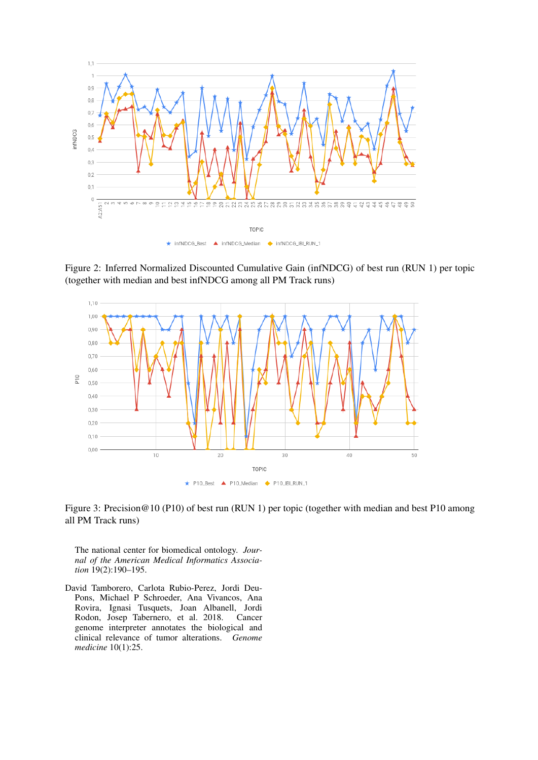

<span id="page-9-1"></span>Figure 2: Inferred Normalized Discounted Cumulative Gain (infNDCG) of best run (RUN 1) per topic (together with median and best infNDCG among all PM Track runs)



<span id="page-9-2"></span>Figure 3: Precision@10 (P10) of best run (RUN 1) per topic (together with median and best P10 among all PM Track runs)

The national center for biomedical ontology. *Journal of the American Medical Informatics Association* 19(2):190–195.

<span id="page-9-0"></span>David Tamborero, Carlota Rubio-Perez, Jordi Deu-Pons, Michael P Schroeder, Ana Vivancos, Ana Rovira, Ignasi Tusquets, Joan Albanell, Jordi Rodon, Josep Tabernero, et al. 2018. Cancer genome interpreter annotates the biological and clinical relevance of tumor alterations. *Genome medicine* 10(1):25.